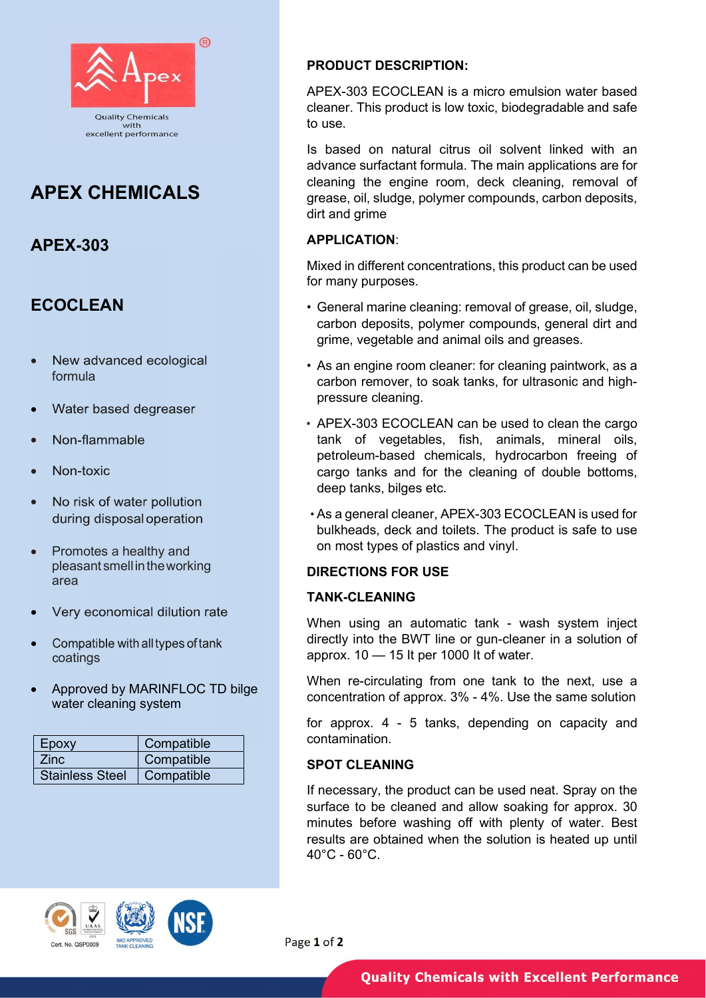

# APEX CHEMICALS

# APEX-303

# **ECOCLEAN**

- New advanced ecological formula
- Water based degreaser
- Non-flammable
- Non-toxic
- No risk of water pollution during disposal operation
- Promotes a healthy and pleasant smell in the working area
- Very economical dilution rate
- Compatible with all types of tank oatings
- Approved by MARINFLOC TD bilge water cleaning system

| Epoxy                  | Compatible |
|------------------------|------------|
| <b>Zinc</b>            | Compatible |
| <b>Stainless Steel</b> | Compatible |

### PRODUCT DESCRIPTION:

APEX-303 ECOCLEAN is a micro emulsion water based cleaner. This product is low toxic, biodegradable and safe to use.

Is based on natural citrus oil solvent linked with an advance surfactant formula. The main applications are for cleaning the engine room, deck cleaning, removal of grease, oil, sludge, polymer compounds, carbon deposits, dirt and grime

#### APPLICATION:

Mixed in different concentrations, this product can be used for many purposes.

- General marine cleaning: removal of grease, oil, sludge, carbon deposits, polymer compounds, general dirt and grime, vegetable and animal oils and greases.
- As an engine room cleaner: for cleaning paintwork, as a carbon remover, to soak tanks, for ultrasonic and highpressure cleaning.
- APEX-303 ECOCLEAN can be used to clean the cargo tank of vegetables, fish, animals, mineral oils, petroleum-based chemicals, hydrocarbon freeing of cargo tanks and for the cleaning of double bottoms, deep tanks, bilges etc.
- As a general cleaner, APEX-303 ECOCLEAN is used for bulkheads, deck and toilets. The product is safe to use on most types of plastics and vinyl.

### DIRECTIONS FOR USE

#### TANK-CLEANING

When using an automatic tank - wash system inject directly into the BWT line or gun-cleaner in a solution of approx. 10 — 15 It per 1000 It of water.

When re-circulating from one tank to the next, use a concentration of approx. 3% - 4%. Use the same solution

for approx. 4 - 5 tanks, depending on capacity and contamination.

### SPOT CLEANING

If necessary, the product can be used neat. Spray on the surface to be cleaned and allow soaking for approx. 30 minutes before washing off with plenty of water. Best results are obtained when the solution is heated up until  $40^{\circ}$ C - 60 $^{\circ}$ C.